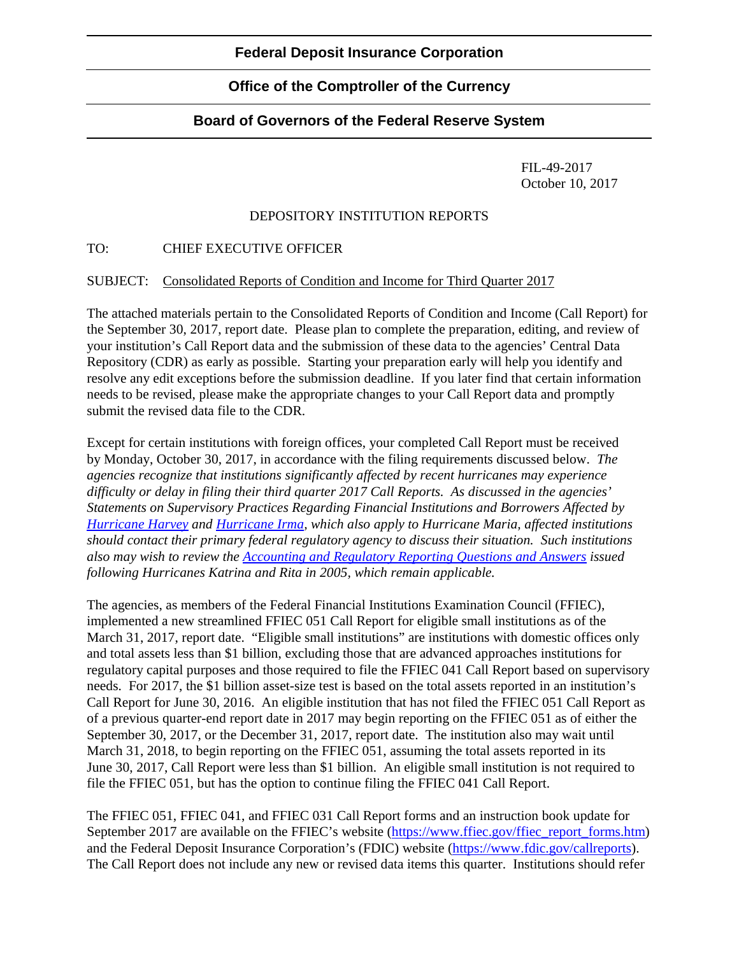## **Office of the Comptroller of the Currency**

## **Board of Governors of the Federal Reserve System**

FIL-49-2017 October 10, 2017

## DEPOSITORY INSTITUTION REPORTS

TO: CHIEF EXECUTIVE OFFICER

SUBJECT: Consolidated Reports of Condition and Income for Third Quarter 2017

The attached materials pertain to the Consolidated Reports of Condition and Income (Call Report) for the September 30, 2017, report date. Please plan to complete the preparation, editing, and review of your institution's Call Report data and the submission of these data to the agencies' Central Data Repository (CDR) as early as possible. Starting your preparation early will help you identify and resolve any edit exceptions before the submission deadline. If you later find that certain information needs to be revised, please make the appropriate changes to your Call Report data and promptly submit the revised data file to the CDR.

Except for certain institutions with foreign offices, your completed Call Report must be received by Monday, October 30, 2017, in accordance with the filing requirements discussed below. *The agencies recognize that institutions significantly affected by recent hurricanes may experience difficulty or delay in filing their third quarter 2017 Call Reports. As discussed in the agencies' Statements on Supervisory Practices Regarding Financial Institutions and Borrowers Affected by [Hurricane](https://www.fdic.gov/news/news/press/2017/pr17064.html) Harvey and [Hurricane Irma,](https://www.fdic.gov/news/news/press/2017/pr17069.html) which also apply to Hurricane Maria, affected institutions should contact their primary federal regulatory agency to discuss their situation. Such institutions also may wish to review the [Accounting and Regulatory Reporting Questions and Answers](https://www.ffiec.gov/katrina.htm) issued following Hurricanes Katrina and Rita in 2005, which remain applicable.*

The agencies, as members of the Federal Financial Institutions Examination Council (FFIEC), implemented a new streamlined FFIEC 051 Call Report for eligible small institutions as of the March 31, 2017, report date. "Eligible small institutions" are institutions with domestic offices only and total assets less than \$1 billion, excluding those that are advanced approaches institutions for regulatory capital purposes and those required to file the FFIEC 041 Call Report based on supervisory needs. For 2017, the \$1 billion asset-size test is based on the total assets reported in an institution's Call Report for June 30, 2016. An eligible institution that has not filed the FFIEC 051 Call Report as of a previous quarter-end report date in 2017 may begin reporting on the FFIEC 051 as of either the September 30, 2017, or the December 31, 2017, report date. The institution also may wait until March 31, 2018, to begin reporting on the FFIEC 051, assuming the total assets reported in its June 30, 2017, Call Report were less than \$1 billion. An eligible small institution is not required to file the FFIEC 051, but has the option to continue filing the FFIEC 041 Call Report.

The FFIEC 051, FFIEC 041, and FFIEC 031 Call Report forms and an instruction book update for September 2017 are available on the FFIEC's website [\(https://www.ffiec.gov/ffiec\\_report\\_forms.htm\)](https://www.ffiec.gov/ffiec_report_forms.htm) and the Federal Deposit Insurance Corporation's (FDIC) website [\(https://www.fdic.gov/callreports\)](https://www.fdic.gov/callreports). The Call Report does not include any new or revised data items this quarter. Institutions should refer